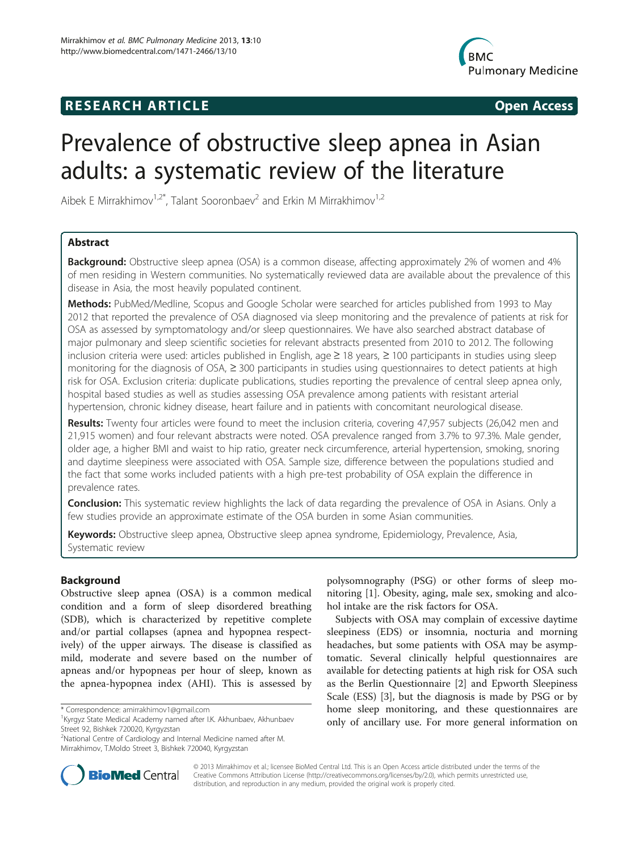# **RESEARCH ARTICLE CONSUMING A RESEARCH ARTICLE**



# Prevalence of obstructive sleep apnea in Asian adults: a systematic review of the literature

Aibek E Mirrakhimov<sup>1,2\*</sup>, Talant Sooronbaev<sup>2</sup> and Erkin M Mirrakhimov<sup>1,2</sup>

# Abstract

**Background:** Obstructive sleep apnea (OSA) is a common disease, affecting approximately 2% of women and 4% of men residing in Western communities. No systematically reviewed data are available about the prevalence of this disease in Asia, the most heavily populated continent.

Methods: PubMed/Medline, Scopus and Google Scholar were searched for articles published from 1993 to May 2012 that reported the prevalence of OSA diagnosed via sleep monitoring and the prevalence of patients at risk for OSA as assessed by symptomatology and/or sleep questionnaires. We have also searched abstract database of major pulmonary and sleep scientific societies for relevant abstracts presented from 2010 to 2012. The following inclusion criteria were used: articles published in English, age ≥ 18 years, ≥ 100 participants in studies using sleep monitoring for the diagnosis of OSA, ≥ 300 participants in studies using questionnaires to detect patients at high risk for OSA. Exclusion criteria: duplicate publications, studies reporting the prevalence of central sleep apnea only, hospital based studies as well as studies assessing OSA prevalence among patients with resistant arterial hypertension, chronic kidney disease, heart failure and in patients with concomitant neurological disease.

Results: Twenty four articles were found to meet the inclusion criteria, covering 47,957 subjects (26,042 men and 21,915 women) and four relevant abstracts were noted. OSA prevalence ranged from 3.7% to 97.3%. Male gender, older age, a higher BMI and waist to hip ratio, greater neck circumference, arterial hypertension, smoking, snoring and daytime sleepiness were associated with OSA. Sample size, difference between the populations studied and the fact that some works included patients with a high pre-test probability of OSA explain the difference in prevalence rates.

**Conclusion:** This systematic review highlights the lack of data regarding the prevalence of OSA in Asians. Only a few studies provide an approximate estimate of the OSA burden in some Asian communities.

Keywords: Obstructive sleep apnea, Obstructive sleep apnea syndrome, Epidemiology, Prevalence, Asia, Systematic review

#### Background

Obstructive sleep apnea (OSA) is a common medical condition and a form of sleep disordered breathing (SDB), which is characterized by repetitive complete and/or partial collapses (apnea and hypopnea respectively) of the upper airways. The disease is classified as mild, moderate and severe based on the number of apneas and/or hypopneas per hour of sleep, known as the apnea-hypopnea index (AHI). This is assessed by

\* Correspondence: [amirrakhimov1@gmail.com](mailto:amirrakhimov1@gmail.com) <sup>1</sup>



Subjects with OSA may complain of excessive daytime sleepiness (EDS) or insomnia, nocturia and morning headaches, but some patients with OSA may be asymptomatic. Several clinically helpful questionnaires are available for detecting patients at high risk for OSA such as the Berlin Questionnaire [\[2](#page-9-0)] and Epworth Sleepiness Scale (ESS) [[3\]](#page-9-0), but the diagnosis is made by PSG or by home sleep monitoring, and these questionnaires are only of ancillary use. For more general information on



© 2013 Mirrakhimov et al.; licensee BioMed Central Ltd. This is an Open Access article distributed under the terms of the Creative Commons Attribution License (<http://creativecommons.org/licenses/by/2.0>), which permits unrestricted use, distribution, and reproduction in any medium, provided the original work is properly cited.

<sup>&</sup>lt;sup>1</sup> Kyrgyz State Medical Academy named after I.K. Akhunbaev, Akhunbaev Street 92, Bishkek 720020, Kyrgyzstan

<sup>2</sup> National Centre of Cardiology and Internal Medicine named after М. Mirrakhimov, T.Moldo Street 3, Bishkek 720040, Kyrgyzstan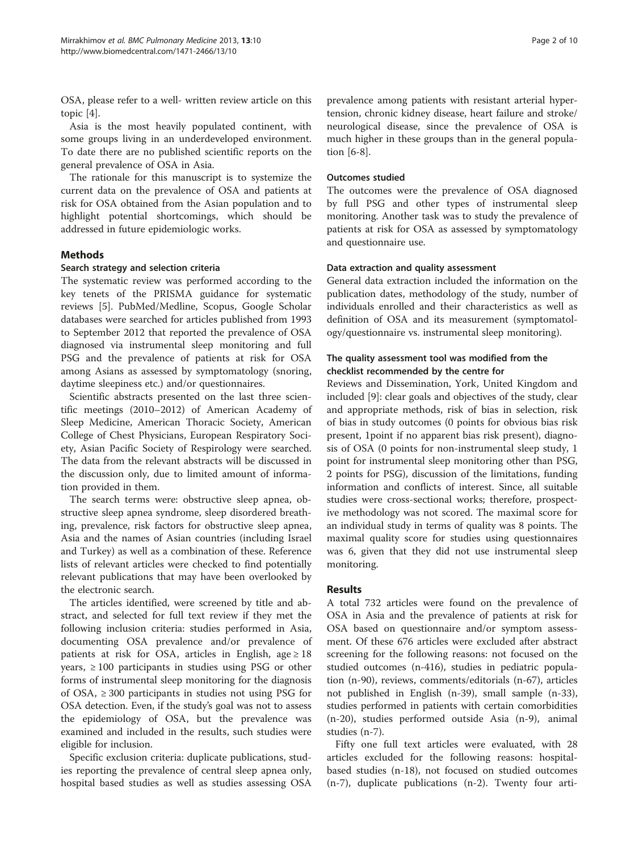OSA, please refer to a well- written review article on this topic [\[4](#page-9-0)].

Asia is the most heavily populated continent, with some groups living in an underdeveloped environment. To date there are no published scientific reports on the general prevalence of OSA in Asia.

The rationale for this manuscript is to systemize the current data on the prevalence of OSA and patients at risk for OSA obtained from the Asian population and to highlight potential shortcomings, which should be addressed in future epidemiologic works.

#### **Methods**

#### Search strategy and selection criteria

The systematic review was performed according to the key tenets of the PRISMA guidance for systematic reviews [\[5](#page-9-0)]. PubMed/Medline, Scopus, Google Scholar databases were searched for articles published from 1993 to September 2012 that reported the prevalence of OSA diagnosed via instrumental sleep monitoring and full PSG and the prevalence of patients at risk for OSA among Asians as assessed by symptomatology (snoring, daytime sleepiness etc.) and/or questionnaires.

Scientific abstracts presented on the last three scientific meetings (2010–2012) of American Academy of Sleep Medicine, American Thoracic Society, American College of Chest Physicians, European Respiratory Society, Asian Pacific Society of Respirology were searched. The data from the relevant abstracts will be discussed in the discussion only, due to limited amount of information provided in them.

The search terms were: obstructive sleep apnea, obstructive sleep apnea syndrome, sleep disordered breathing, prevalence, risk factors for obstructive sleep apnea, Asia and the names of Asian countries (including Israel and Turkey) as well as a combination of these. Reference lists of relevant articles were checked to find potentially relevant publications that may have been overlooked by the electronic search.

The articles identified, were screened by title and abstract, and selected for full text review if they met the following inclusion criteria: studies performed in Asia, documenting OSA prevalence and/or prevalence of patients at risk for OSA, articles in English, age  $\geq 18$ years,  $\geq 100$  participants in studies using PSG or other forms of instrumental sleep monitoring for the diagnosis of OSA, ≥ 300 participants in studies not using PSG for OSA detection. Even, if the study's goal was not to assess the epidemiology of OSA, but the prevalence was examined and included in the results, such studies were eligible for inclusion.

Specific exclusion criteria: duplicate publications, studies reporting the prevalence of central sleep apnea only, hospital based studies as well as studies assessing OSA prevalence among patients with resistant arterial hypertension, chronic kidney disease, heart failure and stroke/ neurological disease, since the prevalence of OSA is much higher in these groups than in the general population [\[6-8](#page-9-0)].

#### Outcomes studied

The outcomes were the prevalence of OSA diagnosed by full PSG and other types of instrumental sleep monitoring. Another task was to study the prevalence of patients at risk for OSA as assessed by symptomatology and questionnaire use.

#### Data extraction and quality assessment

General data extraction included the information on the publication dates, methodology of the study, number of individuals enrolled and their characteristics as well as definition of OSA and its measurement (symptomatology/questionnaire vs. instrumental sleep monitoring).

## The quality assessment tool was modified from the checklist recommended by the centre for

Reviews and Dissemination, York, United Kingdom and included [[9\]](#page-9-0): clear goals and objectives of the study, clear and appropriate methods, risk of bias in selection, risk of bias in study outcomes (0 points for obvious bias risk present, 1point if no apparent bias risk present), diagnosis of OSA (0 points for non-instrumental sleep study, 1 point for instrumental sleep monitoring other than PSG, 2 points for PSG), discussion of the limitations, funding information and conflicts of interest. Since, all suitable studies were cross-sectional works; therefore, prospective methodology was not scored. The maximal score for an individual study in terms of quality was 8 points. The maximal quality score for studies using questionnaires was 6, given that they did not use instrumental sleep monitoring.

#### Results

A total 732 articles were found on the prevalence of OSA in Asia and the prevalence of patients at risk for OSA based on questionnaire and/or symptom assessment. Of these 676 articles were excluded after abstract screening for the following reasons: not focused on the studied outcomes (n-416), studies in pediatric population (n-90), reviews, comments/editorials (n-67), articles not published in English (n-39), small sample (n-33), studies performed in patients with certain comorbidities (n-20), studies performed outside Asia (n-9), animal studies (n-7).

Fifty one full text articles were evaluated, with 28 articles excluded for the following reasons: hospitalbased studies (n-18), not focused on studied outcomes (n-7), duplicate publications (n-2). Twenty four arti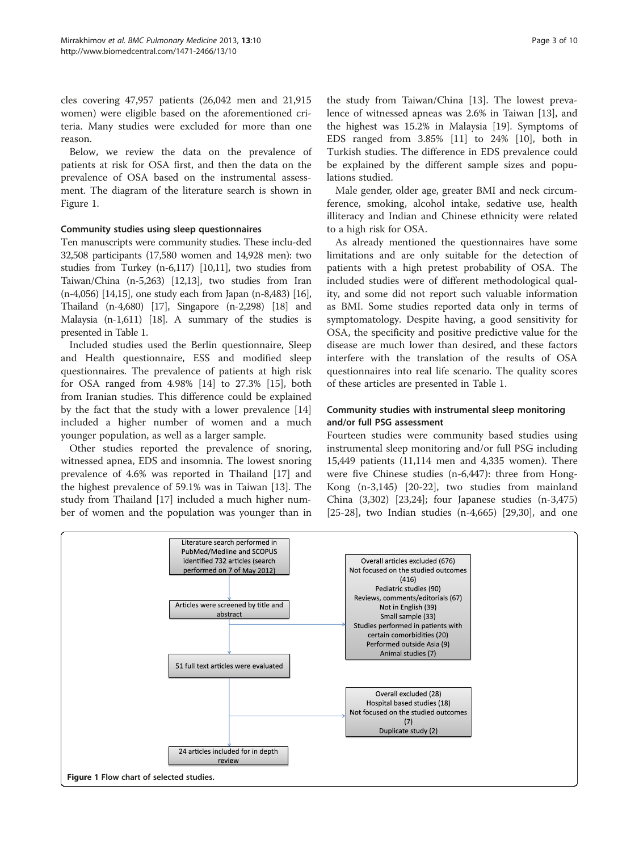cles covering 47,957 patients (26,042 men and 21,915 women) were eligible based on the aforementioned criteria. Many studies were excluded for more than one reason.

Below, we review the data on the prevalence of patients at risk for OSA first, and then the data on the prevalence of OSA based on the instrumental assessment. The diagram of the literature search is shown in Figure 1.

#### Community studies using sleep questionnaires

Ten manuscripts were community studies. These inclu-ded 32,508 participants (17,580 women and 14,928 men): two studies from Turkey (n-6,117) [\[10,11\]](#page-9-0), two studies from Taiwan/China (n-5,263) [[12,13\]](#page-9-0), two studies from Iran (n-4,056) [\[14,15\]](#page-9-0), one study each from Japan (n-8,483) [\[16](#page-9-0)], Thailand (n-4,680) [\[17](#page-9-0)], Singapore (n-2,298) [\[18\]](#page-9-0) and Malaysia (n-1,611) [[18](#page-9-0)]. A summary of the studies is presented in Table [1](#page-3-0).

Included studies used the Berlin questionnaire, Sleep and Health questionnaire, ESS and modified sleep questionnaires. The prevalence of patients at high risk for OSA ranged from 4.98% [\[14\]](#page-9-0) to 27.3% [[15](#page-9-0)], both from Iranian studies. This difference could be explained by the fact that the study with a lower prevalence [[14](#page-9-0)] included a higher number of women and a much younger population, as well as a larger sample.

Other studies reported the prevalence of snoring, witnessed apnea, EDS and insomnia. The lowest snoring prevalence of 4.6% was reported in Thailand [[17\]](#page-9-0) and the highest prevalence of 59.1% was in Taiwan [[13\]](#page-9-0). The study from Thailand [[17](#page-9-0)] included a much higher number of women and the population was younger than in

the study from Taiwan/China [\[13\]](#page-9-0). The lowest prevalence of witnessed apneas was 2.6% in Taiwan [[13\]](#page-9-0), and the highest was 15.2% in Malaysia [\[19](#page-9-0)]. Symptoms of EDS ranged from 3.85% [\[11\]](#page-9-0) to 24% [[10\]](#page-9-0), both in Turkish studies. The difference in EDS prevalence could be explained by the different sample sizes and populations studied.

Male gender, older age, greater BMI and neck circumference, smoking, alcohol intake, sedative use, health illiteracy and Indian and Chinese ethnicity were related to a high risk for OSA.

As already mentioned the questionnaires have some limitations and are only suitable for the detection of patients with a high pretest probability of OSA. The included studies were of different methodological quality, and some did not report such valuable information as BMI. Some studies reported data only in terms of symptomatology. Despite having, a good sensitivity for OSA, the specificity and positive predictive value for the disease are much lower than desired, and these factors interfere with the translation of the results of OSA questionnaires into real life scenario. The quality scores of these articles are presented in Table [1](#page-3-0).

## Community studies with instrumental sleep monitoring and/or full PSG assessment

Fourteen studies were community based studies using instrumental sleep monitoring and/or full PSG including 15,449 patients (11,114 men and 4,335 women). There were five Chinese studies (n-6,447): three from Hong-Kong (n-3,145) [[20-22\]](#page-9-0), two studies from mainland China (3,302) [[23](#page-9-0),[24](#page-9-0)]; four Japanese studies (n-3,475) [[25-28](#page-9-0)], two Indian studies (n-4,665) [\[29,30](#page-9-0)], and one

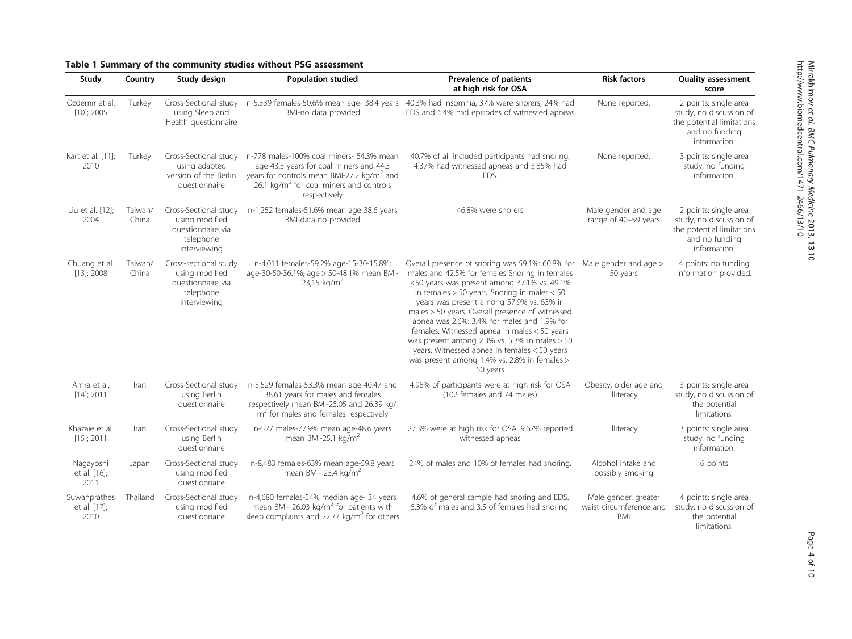# <span id="page-3-0"></span>Table 1 Summary of the community studies without PSG assessment

| Study                                | Country          | Study design                                                                              | <b>Population studied</b>                                                                                                                                                                                   | <b>Prevalence of patients</b><br>at high risk for OSA                                                                                                                                                                                                                                                                                                                                                                                                                                                                                                            | <b>Risk factors</b>                                           | <b>Quality assessment</b><br>score                                                                              |
|--------------------------------------|------------------|-------------------------------------------------------------------------------------------|-------------------------------------------------------------------------------------------------------------------------------------------------------------------------------------------------------------|------------------------------------------------------------------------------------------------------------------------------------------------------------------------------------------------------------------------------------------------------------------------------------------------------------------------------------------------------------------------------------------------------------------------------------------------------------------------------------------------------------------------------------------------------------------|---------------------------------------------------------------|-----------------------------------------------------------------------------------------------------------------|
| Ozdemir et al.<br>$[10]$ ; 2005      | Turkey           | Cross-Sectional study<br>using Sleep and<br>Health questionnaire                          | n-5,339 females-50.6% mean age-38.4 years<br>BMI-no data provided                                                                                                                                           | 40.3% had insomnia, 37% were snorers, 24% had<br>EDS and 6.4% had episodes of witnessed apneas                                                                                                                                                                                                                                                                                                                                                                                                                                                                   | None reported.                                                | 2 points: single area<br>study, no discussion of<br>the potential limitations<br>and no funding<br>information. |
| Kart et al. [11];<br>2010            | Turkey           | Cross-Sectional study<br>using adapted<br>version of the Berlin<br>questionnaire          | n-778 males-100% coal miners- 54.3% mean<br>age-43.3 years for coal miners and 44.3<br>years for controls mean BMI-27.2 kg/m <sup>2</sup> and<br>26.1 kg/ $m2$ for coal miners and controls<br>respectively | 40.7% of all included participants had snoring,<br>4.37% had witnessed apneas and 3.85% had<br>EDS.                                                                                                                                                                                                                                                                                                                                                                                                                                                              | None reported.                                                | 3 points: single area<br>study, no funding<br>information.                                                      |
| Liu et al. [12];<br>2004             | Taiwan/<br>China | Cross-Sectional study<br>using modified<br>questionnaire via<br>telephone<br>interviewing | n-1,252 females-51.6% mean age 38.6 years<br>BMI-data no provided                                                                                                                                           | 46.8% were snorers                                                                                                                                                                                                                                                                                                                                                                                                                                                                                                                                               | Male gender and age<br>range of 40-59 years                   | 2 points: single area<br>study, no discussion of<br>the potential limitations<br>and no funding<br>information. |
| Chuang et al.<br>$[13]$ ; 2008       | Taiwan/<br>China | Cross-sectional study<br>using modified<br>questionnaire via<br>telephone<br>interviewing | n-4,011 females-59.2% age-15-30-15.8%;<br>age-30-50-36.1%; age > 50-48.1% mean BMI-<br>23,15 kg/m <sup>2</sup>                                                                                              | Overall presence of snoring was 59.1%: 60.8% for<br>males and 42.5% for females Snoring in females<br><50 years was present among 37.1% vs. 49.1%<br>in females $> 50$ years. Snoring in males $< 50$<br>years was present among 57.9% vs. 63% in<br>males > 50 years. Overall presence of witnessed<br>apnea was 2.6%: 3.4% for males and 1.9% for<br>females. Witnessed apnea in males < 50 years<br>was present among 2.3% vs. 5.3% in males > 50<br>years. Witnessed apnea in females < 50 years<br>was present among 1.4% vs. 2.8% in females ><br>50 years | Male gender and age ><br>50 years                             | 4 points: no funding<br>information provided.                                                                   |
| Amra et al.<br>$[14]$ ; 2011         | Iran             | Cross-Sectional study<br>using Berlin<br>questionnaire                                    | n-3,529 females-53.3% mean age-40.47 and<br>38.61 years for males and females<br>respectively mean BMI-25.05 and 26.39 kg/<br>$m2$ for males and females respectively                                       | 4.98% of participants were at high risk for OSA<br>(102 females and 74 males)                                                                                                                                                                                                                                                                                                                                                                                                                                                                                    | Obesity, older age and<br>illiteracy                          | 3 points: single area<br>study, no discussion of<br>the potential<br>limitations.                               |
| Khazaie et al.<br>$[15]$ ; 2011      | Iran             | Cross-Sectional study<br>using Berlin<br>questionnaire                                    | n-527 males-77.9% mean age-48.6 years<br>mean BMI-25.1 kg/m <sup>2</sup>                                                                                                                                    | 27.3% were at high risk for OSA. 9.67% reported<br>witnessed apneas                                                                                                                                                                                                                                                                                                                                                                                                                                                                                              | <b>Illiteracy</b>                                             | 3 points: single area<br>study, no funding<br>information.                                                      |
| Nagayoshi<br>et al. [16];<br>2011    | Japan            | Cross-Sectional study<br>using modified<br>questionnaire                                  | n-8,483 females-63% mean age-59.8 years<br>mean BMI- 23.4 kg/m <sup>2</sup>                                                                                                                                 | 24% of males and 10% of females had snoring.                                                                                                                                                                                                                                                                                                                                                                                                                                                                                                                     | Alcohol intake and<br>possibly smoking                        | 6 points                                                                                                        |
| Suwanprathes<br>et al. [17];<br>2010 | Thailand         | Cross-Sectional study<br>using modified<br>questionnaire                                  | n-4,680 females-54% median age-34 years<br>mean BMI- 26.03 kg/m <sup>2</sup> for patients with<br>sleep complaints and 22.77 $\text{kg/m}^2$ for others                                                     | 4.6% of general sample had snoring and EDS.<br>5.3% of males and 3.5 of females had snoring.                                                                                                                                                                                                                                                                                                                                                                                                                                                                     | Male gender, greater<br>waist circumference and<br><b>BMI</b> | 4 points: single area<br>study, no discussion of<br>the potential                                               |

limitations.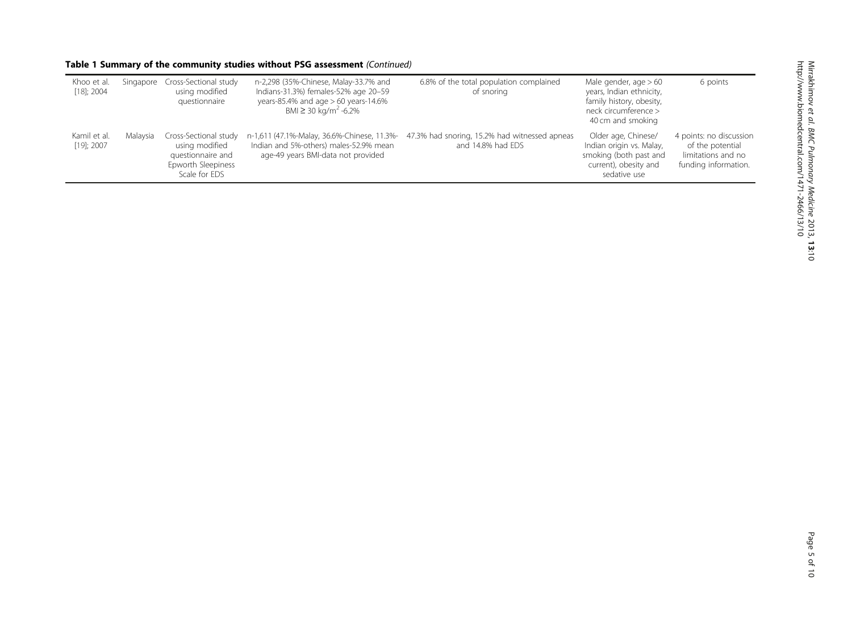# Table 1 Summary of the community studies without PSG assessment (Continued)

| Khoo et al.<br>$[18]$ ; 2004  | Singapore | Cross-Sectional study<br>using modified<br>questionnaire                                            | n-2,298 (35%-Chinese, Malay-33.7% and<br>Indians-31.3%) females-52% age 20-59<br>years-85.4% and age $> 60$ years-14.6%<br>BMI $\geq$ 30 kg/m <sup>2</sup> -6.2% | 6.8% of the total population complained<br>of snoring              | Male gender, $age > 60$<br>years, Indian ethnicity,<br>family history, obesity,<br>neck circumference ><br>40 cm and smoking | 6 points                                                                                  |
|-------------------------------|-----------|-----------------------------------------------------------------------------------------------------|------------------------------------------------------------------------------------------------------------------------------------------------------------------|--------------------------------------------------------------------|------------------------------------------------------------------------------------------------------------------------------|-------------------------------------------------------------------------------------------|
| Kamil et al.<br>$[19]$ ; 2007 | Malaysia  | Cross-Sectional study<br>using modified<br>questionnaire and<br>Epworth Sleepiness<br>Scale for EDS | n-1,611 (47.1%-Malay, 36.6%-Chinese, 11.3%-<br>Indian and 5%-others) males-52.9% mean<br>age-49 years BMI-data not provided                                      | 47.3% had snoring, 15.2% had witnessed apneas<br>and 14.8% had EDS | Older age, Chinese/<br>Indian origin vs. Malay,<br>smoking (both past and<br>current), obesity and<br>sedative use           | 4 points: no discussion<br>of the potential<br>limitations and no<br>funding information. |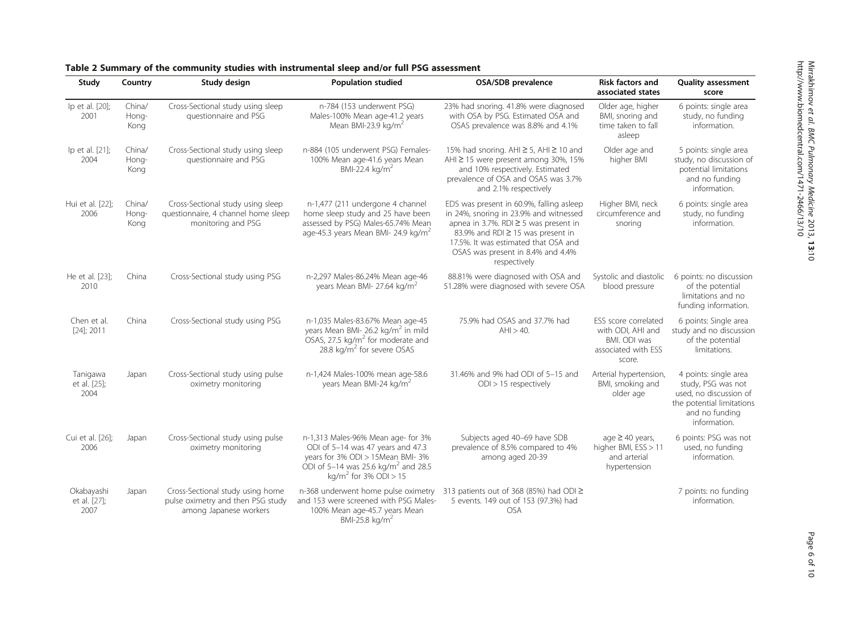| Study                              | Country                 | Study design                                                                                    | <b>Population studied</b>                                                                                                                                                                           | OSA/SDB prevalence                                                                                                                                                                                                                                            | <b>Risk factors and</b>                                                                    | <b>Quality assessment</b>                                                                                                            |
|------------------------------------|-------------------------|-------------------------------------------------------------------------------------------------|-----------------------------------------------------------------------------------------------------------------------------------------------------------------------------------------------------|---------------------------------------------------------------------------------------------------------------------------------------------------------------------------------------------------------------------------------------------------------------|--------------------------------------------------------------------------------------------|--------------------------------------------------------------------------------------------------------------------------------------|
| lp et al. [20];<br>2001            | China/<br>Hong-<br>Kong | Cross-Sectional study using sleep<br>questionnaire and PSG                                      | n-784 (153 underwent PSG)<br>Males-100% Mean age-41.2 years<br>Mean BMI-23.9 kg/m <sup>2</sup>                                                                                                      | 23% had snoring. 41.8% were diagnosed<br>with OSA by PSG. Estimated OSA and<br>OSAS prevalence was 8.8% and 4.1%                                                                                                                                              | associated states<br>Older age, higher<br>BMI, snoring and<br>time taken to fall<br>asleep | score<br>6 points: single area<br>study, no funding<br>information.                                                                  |
| lp et al. [21];<br>2004            | China/<br>Hong-<br>Kong | Cross-Sectional study using sleep<br>questionnaire and PSG                                      | n-884 (105 underwent PSG) Females-<br>100% Mean age-41.6 years Mean<br>BMI-22.4 kg/m <sup>2</sup>                                                                                                   | 15% had snoring. AHI $\geq$ 5, AHI $\geq$ 10 and<br>AHI ≥ 15 were present among 30%, 15%<br>and 10% respectively. Estimated<br>prevalence of OSA and OSAS was 3.7%<br>and 2.1% respectively                                                                   | Older age and<br>higher BMI                                                                | 5 points: single area<br>study, no discussion of<br>potential limitations<br>and no funding<br>information.                          |
| Hui et al. [22];<br>2006           | China/<br>Hong-<br>Kong | Cross-Sectional study using sleep<br>questionnaire, 4 channel home sleep<br>monitoring and PSG  | n-1,477 (211 undergone 4 channel<br>home sleep study and 25 have been<br>assessed by PSG) Males-65.74% Mean<br>age-45.3 years Mean BMI- 24.9 kg/m <sup>2</sup>                                      | EDS was present in 60.9%, falling asleep<br>in 24%, snoring in 23.9% and witnessed<br>apnea in 3.7%. RDI ≥ 5 was present in<br>83.9% and RDI ≥ 15 was present in<br>17.5%. It was estimated that OSA and<br>OSAS was present in 8.4% and 4.4%<br>respectively | Higher BMI, neck<br>circumference and<br>snoring                                           | 6 points: single area<br>study, no funding<br>information.                                                                           |
| He et al. [23];<br>2010            | China                   | Cross-Sectional study using PSG                                                                 | n-2,297 Males-86.24% Mean age-46<br>years Mean BMI- 27.64 kg/m <sup>2</sup>                                                                                                                         | 88.81% were diagnosed with OSA and<br>51.28% were diagnosed with severe OSA                                                                                                                                                                                   | Systolic and diastolic<br>blood pressure                                                   | 6 points: no discussion<br>of the potential<br>limitations and no<br>funding information.                                            |
| Chen et al.<br>$[24]$ ; 2011       | China                   | Cross-Sectional study using PSG                                                                 | n-1,035 Males-83.67% Mean age-45<br>years Mean BMI- 26.2 kg/m <sup>2</sup> in mild<br>OSAS, 27.5 kg/m <sup>2</sup> for moderate and<br>28.8 kg/m <sup>2</sup> for severe OSAS                       | 75.9% had OSAS and 37.7% had<br>AHI > 40.                                                                                                                                                                                                                     | ESS score correlated<br>with ODI, AHI and<br>BMI. ODI was<br>associated with ESS<br>score. | 6 points: Single area<br>study and no discussion<br>of the potential<br>limitations.                                                 |
| Tanigawa<br>et al. [25];<br>2004   | Japan                   | Cross-Sectional study using pulse<br>oximetry monitoring                                        | n-1,424 Males-100% mean age-58.6<br>years Mean BMI-24 kg/m <sup>2</sup>                                                                                                                             | 31.46% and 9% had ODI of 5-15 and<br>$ODI > 15$ respectively                                                                                                                                                                                                  | Arterial hypertension,<br>BMI, smoking and<br>older age                                    | 4 points: single area<br>study, PSG was not<br>used, no discussion of<br>the potential limitations<br>and no funding<br>information. |
| Cui et al. [26];<br>2006           | Japan                   | Cross-Sectional study using pulse<br>oximetry monitoring                                        | n-1,313 Males-96% Mean age- for 3%<br>ODI of 5-14 was 47 years and 47.3<br>years for 3% ODI > 15Mean BMI-3%<br>ODI of 5-14 was 25.6 kg/m <sup>2</sup> and 28.5<br>kg/m <sup>2</sup> for 3% ODI > 15 | Subjects aged 40-69 have SDB<br>prevalence of 8.5% compared to 4%<br>among aged 20-39                                                                                                                                                                         | age $\geq 40$ years,<br>higher BMI, ESS > 11<br>and arterial<br>hypertension               | 6 points: PSG was not<br>used, no funding<br>information.                                                                            |
| Okabayashi<br>et al. [27];<br>2007 | Japan                   | Cross-Sectional study using home<br>pulse oximetry and then PSG study<br>among Japanese workers | n-368 underwent home pulse oximetry<br>and 153 were screened with PSG Males-<br>100% Mean age-45.7 years Mean<br>BMI-25.8 kg/m <sup>2</sup>                                                         | 313 patients out of 368 (85%) had ODI ≥<br>5 events. 149 out of 153 (97.3%) had<br><b>OSA</b>                                                                                                                                                                 |                                                                                            | 7 points: no funding<br>information.                                                                                                 |

# <span id="page-5-0"></span>Table 2 Summary of the community studies with instrumental sleep and/or full PSG assessment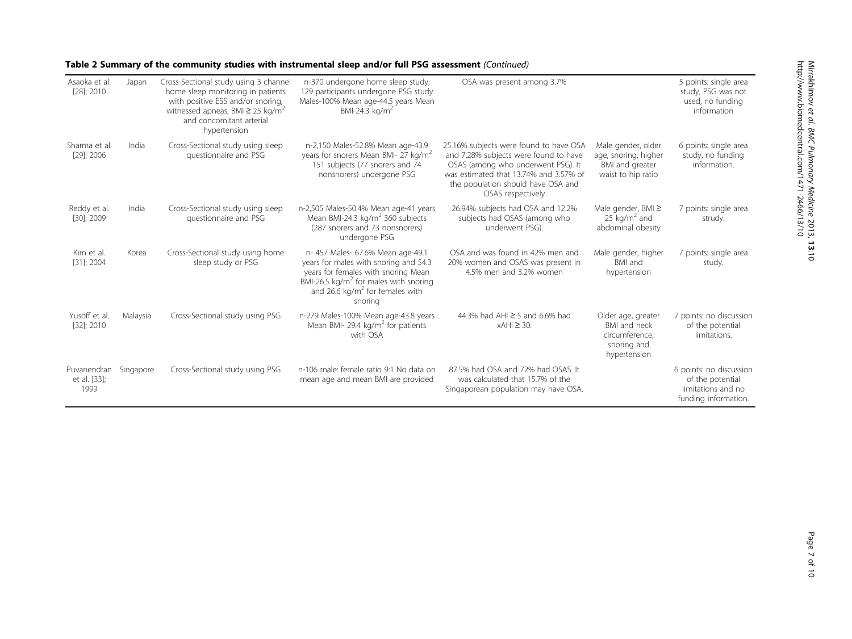|  |  | Table 2 Summary of the community studies with instrumental sleep and/or full PSG assessment (Continued) |
|--|--|---------------------------------------------------------------------------------------------------------|
|--|--|---------------------------------------------------------------------------------------------------------|

| Asaoka et al.<br>$[28]$ ; 2010      | Japan     | Cross-Sectional study using 3 channel<br>home sleep monitoring in patients<br>with positive ESS and/or snoring,<br>witnessed apneas, BMI $\geq$ 25 kg/m <sup>2</sup><br>and concomitant arterial<br>hypertension | n-370 undergone home sleep study;<br>129 participants undergone PSG study<br>Males-100% Mean age-44.5 years Mean<br>BMI-24.3 $kg/m2$                                                                                         | OSA was present among 3.7%                                                                                                                                                                                                 |                                                                                     | 5 points: single area<br>study, PSG was not<br>used, no funding<br>information            |
|-------------------------------------|-----------|------------------------------------------------------------------------------------------------------------------------------------------------------------------------------------------------------------------|------------------------------------------------------------------------------------------------------------------------------------------------------------------------------------------------------------------------------|----------------------------------------------------------------------------------------------------------------------------------------------------------------------------------------------------------------------------|-------------------------------------------------------------------------------------|-------------------------------------------------------------------------------------------|
| Sharma et al.<br>$[29]$ ; 2006      | India     | Cross-Sectional study using sleep<br>questionnaire and PSG                                                                                                                                                       | n-2,150 Males-52.8% Mean age-43.9<br>years for snorers Mean BMI- 27 kg/m <sup>2</sup><br>151 subjects (77 snorers and 74<br>nonsnorers) undergone PSG                                                                        | 25.16% subjects were found to have OSA<br>and 7.28% subjects were found to have<br>OSAS (among who underwent PSG). It<br>was estimated that 13.74% and 3.57% of<br>the population should have OSA and<br>OSAS respectively | Male gender, older<br>age, snoring, higher<br>BMI and greater<br>waist to hip ratio | 6 points: single area<br>study, no funding<br>information.                                |
| Reddy et al.<br>$[30]$ ; 2009       | India     | Cross-Sectional study using sleep<br>questionnaire and PSG                                                                                                                                                       | n-2,505 Males-50.4% Mean age-41 years<br>Mean BMI-24.3 kg/m <sup>2</sup> 360 subjects<br>(287 snorers and 73 nonsnorers)<br>undergone PSG                                                                                    | 26.94% subjects had OSA and 12.2%<br>subjects had OSAS (among who<br>underwent PSG).                                                                                                                                       | Male gender, $BM \geq$<br>25 kg/m <sup>2</sup> and<br>abdominal obesity             | 7 points: single area<br>strudy.                                                          |
| Kim et al.<br>$[31]$ ; 2004         | Korea     | Cross-Sectional study using home<br>sleep study or PSG                                                                                                                                                           | n-457 Males-67.6% Mean age-49.1<br>years for males with snoring and 54.3<br>years for females with snoring Mean<br>BMI-26.5 $\text{kg/m}^2$ for males with snoring<br>and 26.6 kg/m <sup>2</sup> for females with<br>snoring | OSA and was found in 42% men and<br>20% women and OSAS was present in<br>4.5% men and 3.2% women                                                                                                                           | Male gender, higher<br>BMI and<br>hypertension                                      | 7 points: single area<br>study.                                                           |
| Yusoff et al.<br>$[32]$ ; 2010      | Malaysia  | Cross-Sectional study using PSG                                                                                                                                                                                  | n-279 Males-100% Mean age-43.8 years<br>Mean BMI- 29.4 kg/m <sup>2</sup> for patients<br>with OSA                                                                                                                            | 44.3% had AHI ≥ 5 and 6.6% had<br>$x$ AHI $\geq$ 30.                                                                                                                                                                       | Older age, greater<br>BMI and neck<br>circumference.<br>snoring and<br>hypertension | 7 points: no discussion<br>of the potential<br>limitations.                               |
| Puvanendran<br>et al. [33];<br>1999 | Singapore | Cross-Sectional study using PSG                                                                                                                                                                                  | n-106 male: female ratio 9:1 No data on<br>mean age and mean BMI are provided                                                                                                                                                | 87.5% had OSA and 72% had OSAS. It<br>was calculated that 15.7% of the<br>Singaporean population may have OSA.                                                                                                             |                                                                                     | 6 points: no discussion<br>of the potential<br>limitations and no<br>funding information. |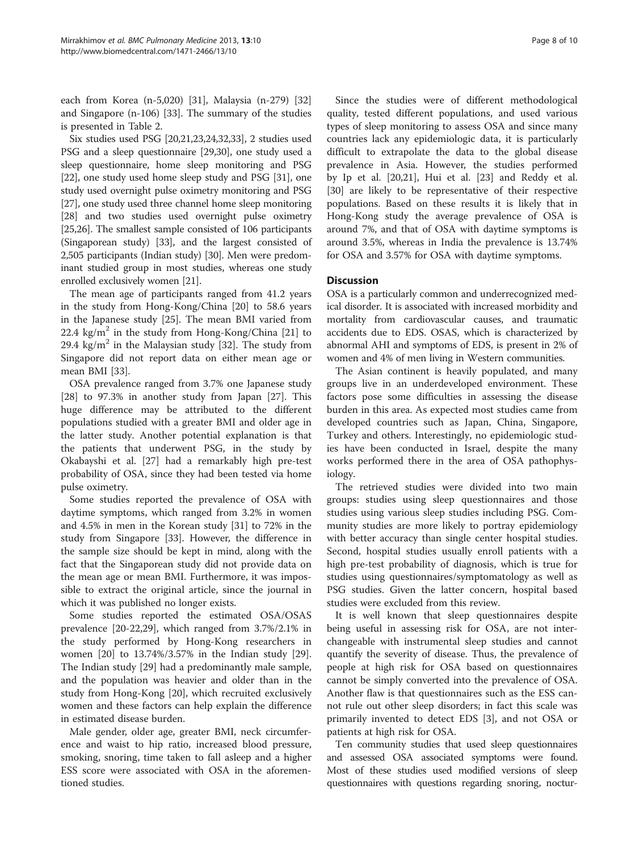each from Korea (n-5,020) [[31\]](#page-9-0), Malaysia (n-279) [[32](#page-9-0)] and Singapore (n-106) [[33](#page-9-0)]. The summary of the studies is presented in Table [2](#page-5-0).

Six studies used PSG [[20,21,23,24,32,33\]](#page-9-0), 2 studies used PSG and a sleep questionnaire [[29,30](#page-9-0)], one study used a sleep questionnaire, home sleep monitoring and PSG [[22](#page-9-0)], one study used home sleep study and PSG [[31](#page-9-0)], one study used overnight pulse oximetry monitoring and PSG [[27](#page-9-0)], one study used three channel home sleep monitoring [[28](#page-9-0)] and two studies used overnight pulse oximetry [[25,26](#page-9-0)]. The smallest sample consisted of 106 participants (Singaporean study) [\[33\]](#page-9-0), and the largest consisted of 2,505 participants (Indian study) [[30\]](#page-9-0). Men were predominant studied group in most studies, whereas one study enrolled exclusively women [\[21\]](#page-9-0).

The mean age of participants ranged from 41.2 years in the study from Hong-Kong/China [\[20](#page-9-0)] to 58.6 years in the Japanese study [[25\]](#page-9-0). The mean BMI varied from 22.4 kg/m<sup>2</sup> in the study from Hong-Kong/China [[21](#page-9-0)] to 29.4  $\text{kg/m}^2$  in the Malaysian study [[32\]](#page-9-0). The study from Singapore did not report data on either mean age or mean BMI [\[33](#page-9-0)].

OSA prevalence ranged from 3.7% one Japanese study [[28\]](#page-9-0) to 97.3% in another study from Japan [\[27](#page-9-0)]. This huge difference may be attributed to the different populations studied with a greater BMI and older age in the latter study. Another potential explanation is that the patients that underwent PSG, in the study by Okabayshi et al. [[27](#page-9-0)] had a remarkably high pre-test probability of OSA, since they had been tested via home pulse oximetry.

Some studies reported the prevalence of OSA with daytime symptoms, which ranged from 3.2% in women and 4.5% in men in the Korean study [\[31](#page-9-0)] to 72% in the study from Singapore [[33\]](#page-9-0). However, the difference in the sample size should be kept in mind, along with the fact that the Singaporean study did not provide data on the mean age or mean BMI. Furthermore, it was impossible to extract the original article, since the journal in which it was published no longer exists.

Some studies reported the estimated OSA/OSAS prevalence [[20](#page-9-0)-[22,29\]](#page-9-0), which ranged from 3.7%/2.1% in the study performed by Hong-Kong researchers in women [\[20](#page-9-0)] to 13.74%/3.57% in the Indian study [\[29](#page-9-0)]. The Indian study [\[29](#page-9-0)] had a predominantly male sample, and the population was heavier and older than in the study from Hong-Kong [\[20\]](#page-9-0), which recruited exclusively women and these factors can help explain the difference in estimated disease burden.

Male gender, older age, greater BMI, neck circumference and waist to hip ratio, increased blood pressure, smoking, snoring, time taken to fall asleep and a higher ESS score were associated with OSA in the aforementioned studies.

Since the studies were of different methodological quality, tested different populations, and used various types of sleep monitoring to assess OSA and since many countries lack any epidemiologic data, it is particularly difficult to extrapolate the data to the global disease prevalence in Asia. However, the studies performed by Ip et al. [[20,21\]](#page-9-0), Hui et al. [\[23](#page-9-0)] and Reddy et al. [[30\]](#page-9-0) are likely to be representative of their respective populations. Based on these results it is likely that in Hong-Kong study the average prevalence of OSA is around 7%, and that of OSA with daytime symptoms is around 3.5%, whereas in India the prevalence is 13.74% for OSA and 3.57% for OSA with daytime symptoms.

#### **Discussion**

OSA is a particularly common and underrecognized medical disorder. It is associated with increased morbidity and mortality from cardiovascular causes, and traumatic accidents due to EDS. OSAS, which is characterized by abnormal AHI and symptoms of EDS, is present in 2% of women and 4% of men living in Western communities.

The Asian continent is heavily populated, and many groups live in an underdeveloped environment. These factors pose some difficulties in assessing the disease burden in this area. As expected most studies came from developed countries such as Japan, China, Singapore, Turkey and others. Interestingly, no epidemiologic studies have been conducted in Israel, despite the many works performed there in the area of OSA pathophysiology.

The retrieved studies were divided into two main groups: studies using sleep questionnaires and those studies using various sleep studies including PSG. Community studies are more likely to portray epidemiology with better accuracy than single center hospital studies. Second, hospital studies usually enroll patients with a high pre-test probability of diagnosis, which is true for studies using questionnaires/symptomatology as well as PSG studies. Given the latter concern, hospital based studies were excluded from this review.

It is well known that sleep questionnaires despite being useful in assessing risk for OSA, are not interchangeable with instrumental sleep studies and cannot quantify the severity of disease. Thus, the prevalence of people at high risk for OSA based on questionnaires cannot be simply converted into the prevalence of OSA. Another flaw is that questionnaires such as the ESS cannot rule out other sleep disorders; in fact this scale was primarily invented to detect EDS [\[3](#page-9-0)], and not OSA or patients at high risk for OSA.

Ten community studies that used sleep questionnaires and assessed OSA associated symptoms were found. Most of these studies used modified versions of sleep questionnaires with questions regarding snoring, noctur-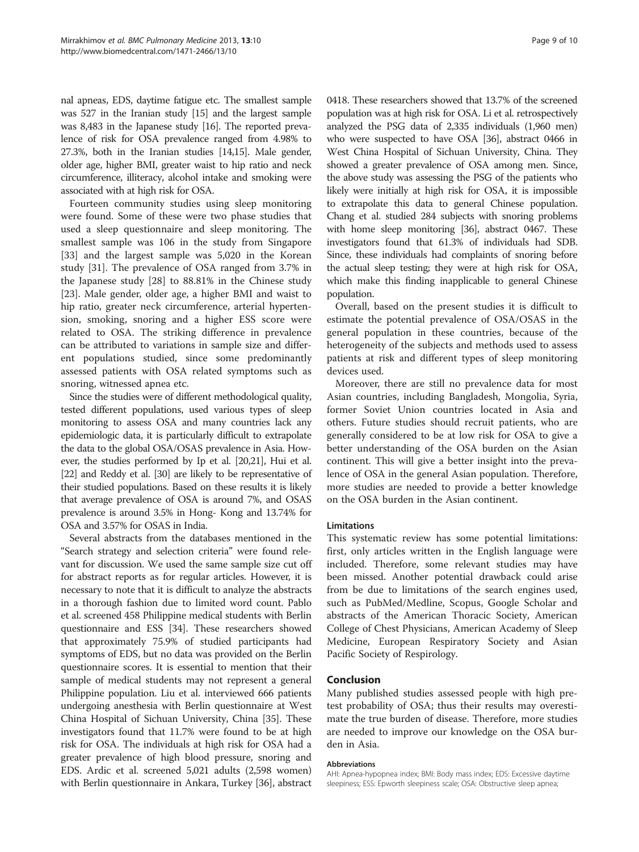nal apneas, EDS, daytime fatigue etc. The smallest sample was 527 in the Iranian study [[15](#page-9-0)] and the largest sample was 8,483 in the Japanese study [\[16\]](#page-9-0). The reported prevalence of risk for OSA prevalence ranged from 4.98% to 27.3%, both in the Iranian studies [\[14,15\]](#page-9-0). Male gender, older age, higher BMI, greater waist to hip ratio and neck circumference, illiteracy, alcohol intake and smoking were associated with at high risk for OSA.

Fourteen community studies using sleep monitoring were found. Some of these were two phase studies that used a sleep questionnaire and sleep monitoring. The smallest sample was 106 in the study from Singapore [[33\]](#page-9-0) and the largest sample was 5,020 in the Korean study [\[31](#page-9-0)]. The prevalence of OSA ranged from 3.7% in the Japanese study [[28](#page-9-0)] to 88.81% in the Chinese study [[23\]](#page-9-0). Male gender, older age, a higher BMI and waist to hip ratio, greater neck circumference, arterial hypertension, smoking, snoring and a higher ESS score were related to OSA. The striking difference in prevalence can be attributed to variations in sample size and different populations studied, since some predominantly assessed patients with OSA related symptoms such as snoring, witnessed apnea etc.

Since the studies were of different methodological quality, tested different populations, used various types of sleep monitoring to assess OSA and many countries lack any epidemiologic data, it is particularly difficult to extrapolate the data to the global OSA/OSAS prevalence in Asia. However, the studies performed by Ip et al. [\[20,21\]](#page-9-0), Hui et al. [[22](#page-9-0)] and Reddy et al. [\[30\]](#page-9-0) are likely to be representative of their studied populations. Based on these results it is likely that average prevalence of OSA is around 7%, and OSAS prevalence is around 3.5% in Hong- Kong and 13.74% for OSA and 3.57% for OSAS in India.

Several abstracts from the databases mentioned in the "Search strategy and selection criteria" were found relevant for discussion. We used the same sample size cut off for abstract reports as for regular articles. However, it is necessary to note that it is difficult to analyze the abstracts in a thorough fashion due to limited word count. Pablo et al. screened 458 Philippine medical students with Berlin questionnaire and ESS [\[34](#page-9-0)]. These researchers showed that approximately 75.9% of studied participants had symptoms of EDS, but no data was provided on the Berlin questionnaire scores. It is essential to mention that their sample of medical students may not represent a general Philippine population. Liu et al. interviewed 666 patients undergoing anesthesia with Berlin questionnaire at West China Hospital of Sichuan University, China [[35](#page-9-0)]. These investigators found that 11.7% were found to be at high risk for OSA. The individuals at high risk for OSA had a greater prevalence of high blood pressure, snoring and EDS. Ardic et al. screened 5,021 adults (2,598 women) with Berlin questionnaire in Ankara, Turkey [\[36\]](#page-9-0), abstract 0418. These researchers showed that 13.7% of the screened population was at high risk for OSA. Li et al. retrospectively analyzed the PSG data of 2,335 individuals (1,960 men) who were suspected to have OSA [\[36\]](#page-9-0), abstract 0466 in West China Hospital of Sichuan University, China. They showed a greater prevalence of OSA among men. Since, the above study was assessing the PSG of the patients who likely were initially at high risk for OSA, it is impossible to extrapolate this data to general Chinese population. Chang et al. studied 284 subjects with snoring problems with home sleep monitoring [[36\]](#page-9-0), abstract 0467. These investigators found that 61.3% of individuals had SDB. Since, these individuals had complaints of snoring before the actual sleep testing; they were at high risk for OSA, which make this finding inapplicable to general Chinese population.

Overall, based on the present studies it is difficult to estimate the potential prevalence of OSA/OSAS in the general population in these countries, because of the heterogeneity of the subjects and methods used to assess patients at risk and different types of sleep monitoring devices used.

Moreover, there are still no prevalence data for most Asian countries, including Bangladesh, Mongolia, Syria, former Soviet Union countries located in Asia and others. Future studies should recruit patients, who are generally considered to be at low risk for OSA to give a better understanding of the OSA burden on the Asian continent. This will give a better insight into the prevalence of OSA in the general Asian population. Therefore, more studies are needed to provide a better knowledge on the OSA burden in the Asian continent.

#### Limitations

This systematic review has some potential limitations: first, only articles written in the English language were included. Therefore, some relevant studies may have been missed. Another potential drawback could arise from be due to limitations of the search engines used, such as PubMed/Medline, Scopus, Google Scholar and abstracts of the American Thoracic Society, American College of Chest Physicians, American Academy of Sleep Medicine, European Respiratory Society and Asian Pacific Society of Respirology.

#### Conclusion

Many published studies assessed people with high pretest probability of OSA; thus their results may overestimate the true burden of disease. Therefore, more studies are needed to improve our knowledge on the OSA burden in Asia.

#### Abbreviations

AHI: Apnea-hypopnea index; BMI: Body mass index; EDS: Excessive daytime sleepiness; ESS: Epworth sleepiness scale; OSA: Obstructive sleep apnea;